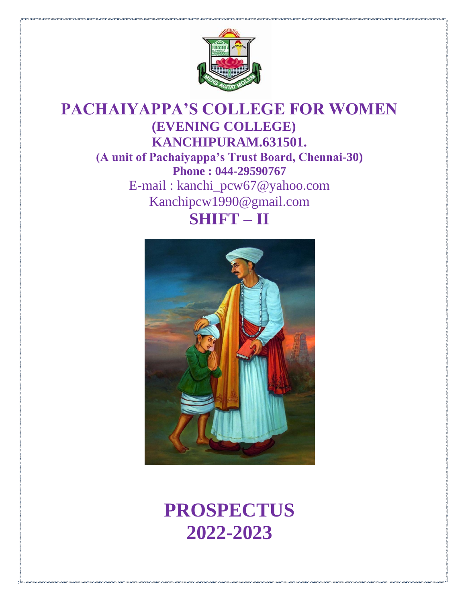

## **PACHAIYAPPA'S COLLEGE FOR WOMEN (EVENING COLLEGE) KANCHIPURAM.631501. (A unit of Pachaiyappa's Trust Board, Chennai-30) Phone : 044-29590767** E-mail : [kanchi\\_pcw67@yahoo.com](mailto:kanchi_pcw67@yahoo.com) [Kanchipcw1990@gmail.com](mailto:Kanchipcw1990@gmail.com) **SHIFT – II**



# **PROSPECTUS 2022-2023**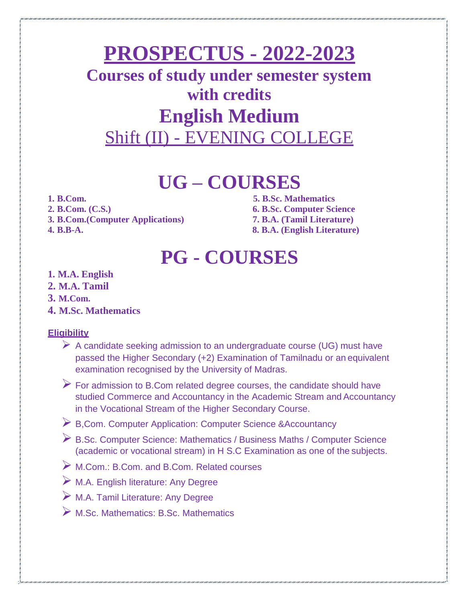## **PROSPECTUS - 2022-2023**

## **Courses of study under semester system with credits English Medium** Shift (II) - EVENING COLLEGE

## **UG – COURSES**

- 
- 
- **3. B.Com.(Computer Applications) 7. B.A. (Tamil Literature)**
- 

**1. B.Com. 5. B.Sc. Mathematics 2. B.Com. (C.S.) 6. B.Sc. Computer Science 4. B.B-A. 8. B.A. (English Literature)**

# **PG - COURSES**

- **1. M.A. English**
- **2. M.A. Tamil**
- **3. M.Com.**
- **4. M.Sc. Mathematics**

#### **Eligibility**

- $\triangleright$  A candidate seeking admission to an undergraduate course (UG) must have passed the Higher Secondary (+2) Examination of Tamilnadu or an equivalent examination recognised by the University of Madras.
- $\triangleright$  For admission to B.Com related degree courses, the candidate should have studied Commerce and Accountancy in the Academic Stream and Accountancy in the Vocational Stream of the Higher Secondary Course.
- B,Com. Computer Application: Computer Science &Accountancy
- B.Sc. Computer Science: Mathematics / Business Maths / Computer Science (academic or vocational stream) in H S.C Examination as one of the subjects.
- M.Com.: B.Com. and B.Com. Related courses
- M.A. English literature: Any Degree
- M.A. Tamil Literature: Any Degree
- M.Sc. Mathematics: B.Sc. Mathematics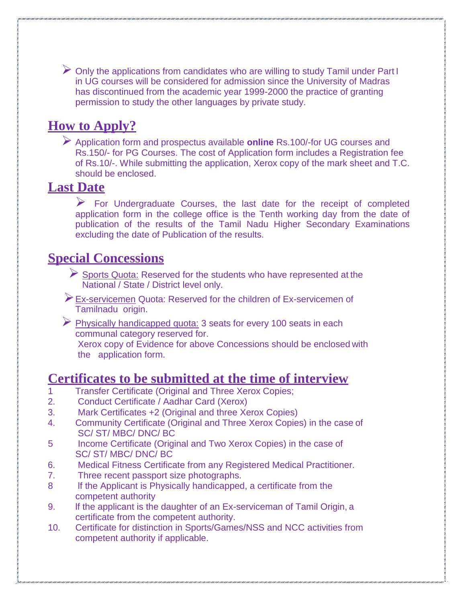$\triangleright$  Only the applications from candidates who are willing to study Tamil under Part I in UG courses will be considered for admission since the University of Madras has discontinued from the academic year 1999-2000 the practice of granting permission to study the other languages by private study.

## **How to Apply?**

 Application form and prospectus available **online** Rs.100/-for UG courses and Rs.150/- for PG Courses. The cost of Application form includes a Registration fee of Rs.10/-. While submitting the application, Xerox copy of the mark sheet and T.C. should be enclosed.

### **Last Date**

 $\triangleright$  For Undergraduate Courses, the last date for the receipt of completed application form in the college office is the Tenth working day from the date of publication of the results of the Tamil Nadu Higher Secondary Examinations excluding the date of Publication of the results.

### **Special Concessions**

- $\triangleright$  Sports Quota: Reserved for the students who have represented at the National / State / District level only.
- Ex-servicemen Quota: Reserved for the children of Ex-servicemen of Tamilnadu origin.
- $\triangleright$  Physically handicapped quota: 3 seats for every 100 seats in each communal category reserved for. Xerox copy of Evidence for above Concessions should be enclosed with the application form.

### **Certificates to be submitted at the time of interview**

- 1 Transfer Certificate (Original and Three Xerox Copies;
- 2. Conduct Certificate / Aadhar Card (Xerox)
- 3. Mark Certificates +2 (Original and three Xerox Copies)
- 4. Community Certificate (Original and Three Xerox Copies) in the case of SC/ ST/ MBC/ DNC/ BC
- 5 Income Certificate (Original and Two Xerox Copies) in the case of SC/ ST/ MBC/ DNC/ BC
- 6. Medical Fitness Certificate from any Registered Medical Practitioner.
- 7. Three recent passport size photographs.
- 8 If the Applicant is Physically handicapped, a certificate from the competent authority
- 9. If the applicant is the daughter of an Ex-serviceman of Tamil Origin, a certificate from the competent authority.
- 10. Certificate for distinction in Sports/Games/NSS and NCC activities from competent authority if applicable.